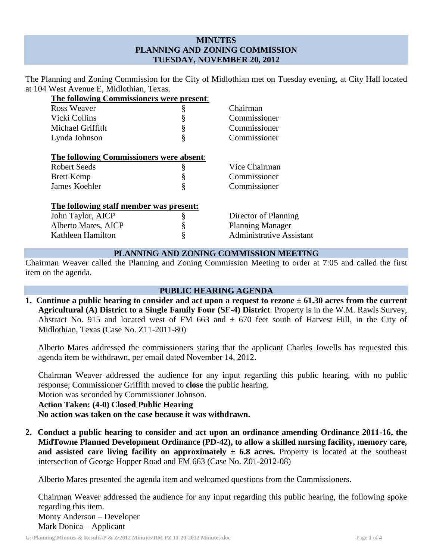# **MINUTES PLANNING AND ZONING COMMISSION TUESDAY, NOVEMBER 20, 2012**

The Planning and Zoning Commission for the City of Midlothian met on Tuesday evening, at City Hall located at 104 West Avenue E, Midlothian, Texas.

| The following Commissioners were present: |   |                                 |
|-------------------------------------------|---|---------------------------------|
| Ross Weaver                               | § | Chairman                        |
| Vicki Collins                             | § | Commissioner                    |
| Michael Griffith                          | § | Commissioner                    |
| Lynda Johnson                             | § | Commissioner                    |
| The following Commissioners were absent:  |   |                                 |
| Robert Seeds                              | § | Vice Chairman                   |
| <b>Brett Kemp</b>                         | § | Commissioner                    |
| James Koehler                             | § | Commissioner                    |
| The following staff member was present:   |   |                                 |
| John Taylor, AICP                         | § | Director of Planning            |
| Alberto Mares, AICP                       | § | <b>Planning Manager</b>         |
| Kathleen Hamilton                         | § | <b>Administrative Assistant</b> |

### **PLANNING AND ZONING COMMISSION MEETING**

Chairman Weaver called the Planning and Zoning Commission Meeting to order at 7:05 and called the first item on the agenda.

# **PUBLIC HEARING AGENDA**

**1. Continue a public hearing to consider and act upon a request to rezone ± 61.30 acres from the current Agricultural (A) District to a Single Family Four (SF-4) District**. Property is in the W.M. Rawls Survey, Abstract No. 915 and located west of FM 663 and  $\pm$  670 feet south of Harvest Hill, in the City of Midlothian, Texas (Case No. Z11-2011-80)

Alberto Mares addressed the commissioners stating that the applicant Charles Jowells has requested this agenda item be withdrawn, per email dated November 14, 2012.

Chairman Weaver addressed the audience for any input regarding this public hearing, with no public response; Commissioner Griffith moved to **close** the public hearing.

Motion was seconded by Commissioner Johnson.

**Action Taken: (4-0) Closed Public Hearing**

**No action was taken on the case because it was withdrawn.**

**2. Conduct a public hearing to consider and act upon an ordinance amending Ordinance 2011-16, the MidTowne Planned Development Ordinance (PD-42), to allow a skilled nursing facility, memory care, and assisted care living facility on approximately**  $\pm$  **6.8 acres. Property is located at the southeast** intersection of George Hopper Road and FM 663 (Case No. Z01-2012-08)

Alberto Mares presented the agenda item and welcomed questions from the Commissioners.

Chairman Weaver addressed the audience for any input regarding this public hearing, the following spoke regarding this item. Monty Anderson – Developer Mark Donica – Applicant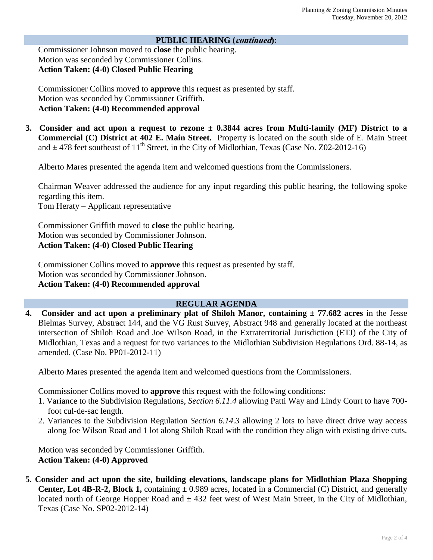### **PUBLIC HEARING (continued):**

Commissioner Johnson moved to **close** the public hearing. Motion was seconded by Commissioner Collins. **Action Taken: (4-0) Closed Public Hearing**

Commissioner Collins moved to **approve** this request as presented by staff. Motion was seconded by Commissioner Griffith. **Action Taken: (4-0) Recommended approval**

**3. Consider and act upon a request to rezone ± 0.3844 acres from Multi-family (MF) District to a Commercial (C) District at 402 E. Main Street.** Property is located on the south side of E. Main Street and  $\pm$  478 feet southeast of 11<sup>th</sup> Street, in the City of Midlothian, Texas (Case No. Z02-2012-16)

Alberto Mares presented the agenda item and welcomed questions from the Commissioners.

Chairman Weaver addressed the audience for any input regarding this public hearing, the following spoke regarding this item.

Tom Heraty – Applicant representative

Commissioner Griffith moved to **close** the public hearing. Motion was seconded by Commissioner Johnson. **Action Taken: (4-0) Closed Public Hearing**

Commissioner Collins moved to **approve** this request as presented by staff. Motion was seconded by Commissioner Johnson. **Action Taken: (4-0) Recommended approval**

# **REGULAR AGENDA**

**4. Consider and act upon a preliminary plat of Shiloh Manor, containing ± 77.682 acres** in the Jesse Bielmas Survey, Abstract 144, and the VG Rust Survey, Abstract 948 and generally located at the northeast intersection of Shiloh Road and Joe Wilson Road, in the Extraterritorial Jurisdiction (ETJ) of the City of Midlothian, Texas and a request for two variances to the Midlothian Subdivision Regulations Ord. 88-14, as amended. (Case No. PP01-2012-11)

Alberto Mares presented the agenda item and welcomed questions from the Commissioners.

Commissioner Collins moved to **approve** this request with the following conditions:

- 1. Variance to the Subdivision Regulations, *Section 6.11.4* allowing Patti Way and Lindy Court to have 700 foot cul-de-sac length.
- 2. Variances to the Subdivision Regulation *Section 6.14.3* allowing 2 lots to have direct drive way access along Joe Wilson Road and 1 lot along Shiloh Road with the condition they align with existing drive cuts.

Motion was seconded by Commissioner Griffith. **Action Taken: (4-0) Approved**

**5**. **Consider and act upon the site, building elevations, landscape plans for Midlothian Plaza Shopping Center, Lot 4B-R-2, Block 1,** containing  $\pm$  0.989 acres, located in a Commercial (C) District, and generally located north of George Hopper Road and  $\pm$  432 feet west of West Main Street, in the City of Midlothian, Texas (Case No. SP02-2012-14)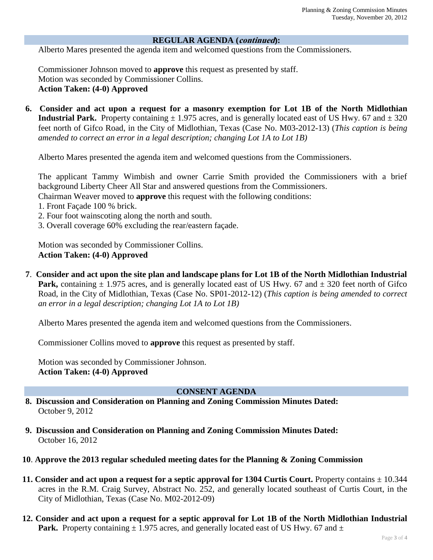#### **REGULAR AGENDA (continued):**

Alberto Mares presented the agenda item and welcomed questions from the Commissioners.

Commissioner Johnson moved to **approve** this request as presented by staff. Motion was seconded by Commissioner Collins. **Action Taken: (4-0) Approved**

**6. Consider and act upon a request for a masonry exemption for Lot 1B of the North Midlothian Industrial Park.** Property containing  $\pm$  1.975 acres, and is generally located east of US Hwy. 67 and  $\pm$  320 feet north of Gifco Road, in the City of Midlothian, Texas (Case No. M03-2012-13) (*This caption is being amended to correct an error in a legal description; changing Lot 1A to Lot 1B)*

Alberto Mares presented the agenda item and welcomed questions from the Commissioners.

The applicant Tammy Wimbish and owner Carrie Smith provided the Commissioners with a brief background Liberty Cheer All Star and answered questions from the Commissioners.

Chairman Weaver moved to **approve** this request with the following conditions:

- 1. Front Façade 100 % brick.
- 2. Four foot wainscoting along the north and south.
- 3. Overall coverage 60% excluding the rear/eastern façade.

Motion was seconded by Commissioner Collins. **Action Taken: (4-0) Approved**

**7**. **Consider and act upon the site plan and landscape plans for Lot 1B of the North Midlothian Industrial Park,** containing  $\pm$  1.975 acres, and is generally located east of US Hwy. 67 and  $\pm$  320 feet north of Gifco Road, in the City of Midlothian, Texas (Case No. SP01-2012-12) (*This caption is being amended to correct an error in a legal description; changing Lot 1A to Lot 1B)*

Alberto Mares presented the agenda item and welcomed questions from the Commissioners.

Commissioner Collins moved to **approve** this request as presented by staff.

Motion was seconded by Commissioner Johnson. **Action Taken: (4-0) Approved**

# **CONSENT AGENDA**

- **8. Discussion and Consideration on Planning and Zoning Commission Minutes Dated:**  October 9, 2012
- **9. Discussion and Consideration on Planning and Zoning Commission Minutes Dated:**  October 16, 2012
- **10**. **Approve the 2013 regular scheduled meeting dates for the Planning & Zoning Commission**
- **11. Consider and act upon a request for a septic approval for 1304 Curtis Court.** Property contains  $\pm$  10.344 acres in the R.M. Craig Survey, Abstract No. 252, and generally located southeast of Curtis Court, in the City of Midlothian, Texas (Case No. M02-2012-09)
- **12. Consider and act upon a request for a septic approval for Lot 1B of the North Midlothian Industrial Park.** Property containing  $\pm$  1.975 acres, and generally located east of US Hwy. 67 and  $\pm$